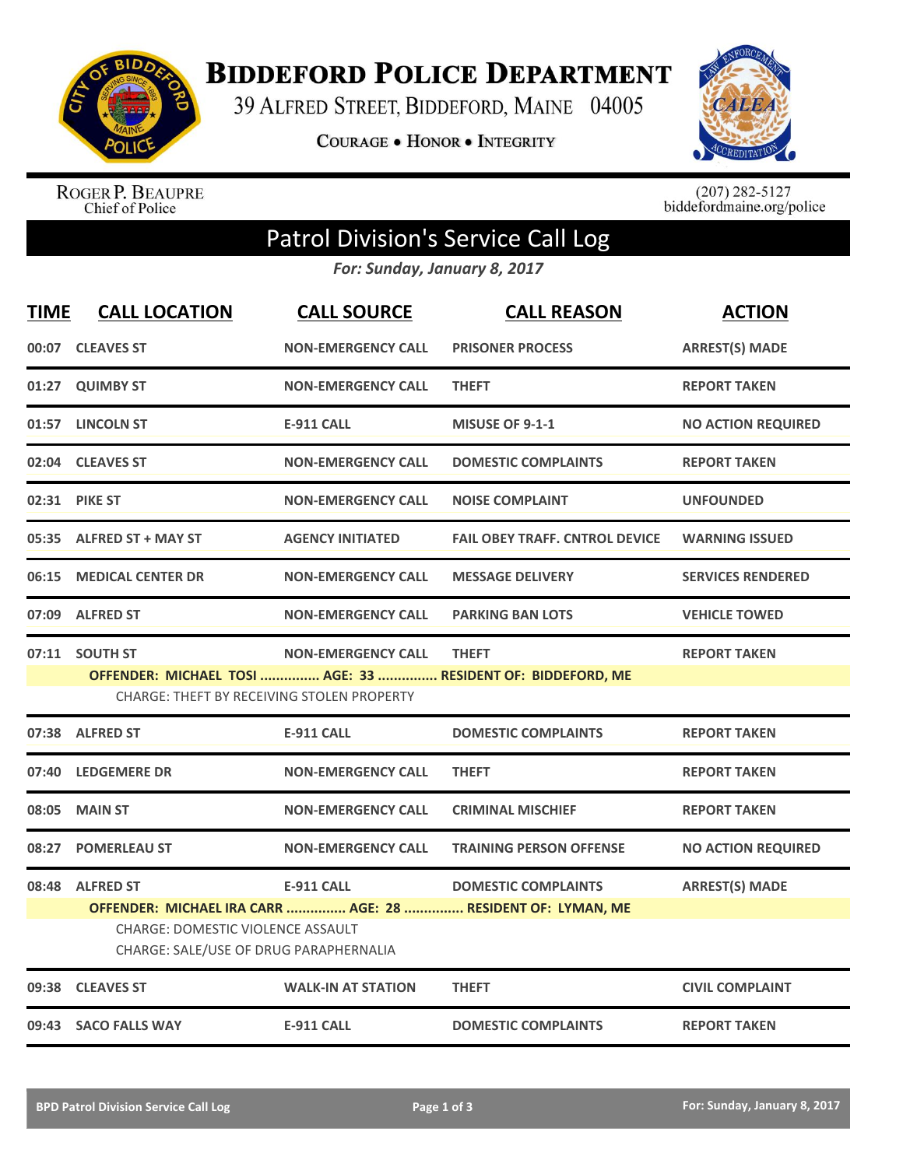

**BIDDEFORD POLICE DEPARTMENT** 

39 ALFRED STREET, BIDDEFORD, MAINE 04005

COURAGE . HONOR . INTEGRITY



ROGER P. BEAUPRE<br>Chief of Police

 $(207)$  282-5127<br>biddefordmaine.org/police

## Patrol Division's Service Call Log

*For: Sunday, January 8, 2017*

| <b>TIME</b> | <b>CALL LOCATION</b>                                                               | <b>CALL SOURCE</b>        | <b>CALL REASON</b>                                          | <b>ACTION</b>             |
|-------------|------------------------------------------------------------------------------------|---------------------------|-------------------------------------------------------------|---------------------------|
|             | 00:07 CLEAVES ST                                                                   | <b>NON-EMERGENCY CALL</b> | <b>PRISONER PROCESS</b>                                     | <b>ARREST(S) MADE</b>     |
|             | 01:27 QUIMBY ST                                                                    | <b>NON-EMERGENCY CALL</b> | <b>THEFT</b>                                                | <b>REPORT TAKEN</b>       |
|             | 01:57 LINCOLN ST                                                                   | <b>E-911 CALL</b>         | <b>MISUSE OF 9-1-1</b>                                      | <b>NO ACTION REQUIRED</b> |
|             | 02:04 CLEAVES ST                                                                   | <b>NON-EMERGENCY CALL</b> | <b>DOMESTIC COMPLAINTS</b>                                  | <b>REPORT TAKEN</b>       |
|             | 02:31 PIKE ST                                                                      | <b>NON-EMERGENCY CALL</b> | <b>NOISE COMPLAINT</b>                                      | <b>UNFOUNDED</b>          |
| 05:35       | <b>ALFRED ST + MAY ST</b>                                                          | <b>AGENCY INITIATED</b>   | <b>FAIL OBEY TRAFF. CNTROL DEVICE</b>                       | <b>WARNING ISSUED</b>     |
| 06:15       | <b>MEDICAL CENTER DR</b>                                                           | <b>NON-EMERGENCY CALL</b> | <b>MESSAGE DELIVERY</b>                                     | <b>SERVICES RENDERED</b>  |
| 07:09       | <b>ALFRED ST</b>                                                                   | <b>NON-EMERGENCY CALL</b> | <b>PARKING BAN LOTS</b>                                     | <b>VEHICLE TOWED</b>      |
|             | 07:11 SOUTH ST                                                                     | <b>NON-EMERGENCY CALL</b> | <b>THEFT</b>                                                | <b>REPORT TAKEN</b>       |
|             | CHARGE: THEFT BY RECEIVING STOLEN PROPERTY                                         |                           | OFFENDER: MICHAEL TOSI  AGE: 33  RESIDENT OF: BIDDEFORD, ME |                           |
|             | 07:38 ALFRED ST                                                                    | <b>E-911 CALL</b>         | <b>DOMESTIC COMPLAINTS</b>                                  | <b>REPORT TAKEN</b>       |
| 07:40       | <b>LEDGEMERE DR</b>                                                                | <b>NON-EMERGENCY CALL</b> | <b>THEFT</b>                                                | <b>REPORT TAKEN</b>       |
| 08:05       | <b>MAIN ST</b>                                                                     | <b>NON-EMERGENCY CALL</b> | <b>CRIMINAL MISCHIEF</b>                                    | <b>REPORT TAKEN</b>       |
| 08:27       | <b>POMERLEAU ST</b>                                                                | <b>NON-EMERGENCY CALL</b> | <b>TRAINING PERSON OFFENSE</b>                              | <b>NO ACTION REQUIRED</b> |
|             | 08:48 ALFRED ST                                                                    | E-911 CALL                | <b>DOMESTIC COMPLAINTS</b>                                  | <b>ARREST(S) MADE</b>     |
|             | <b>CHARGE: DOMESTIC VIOLENCE ASSAULT</b><br>CHARGE: SALE/USE OF DRUG PARAPHERNALIA |                           | OFFENDER: MICHAEL IRA CARR  AGE: 28  RESIDENT OF: LYMAN, ME |                           |
|             | 09:38 CLEAVES ST                                                                   | <b>WALK-IN AT STATION</b> | <b>THEFT</b>                                                | <b>CIVIL COMPLAINT</b>    |
|             | 09:43 SACO FALLS WAY                                                               | <b>E-911 CALL</b>         | <b>DOMESTIC COMPLAINTS</b>                                  | <b>REPORT TAKEN</b>       |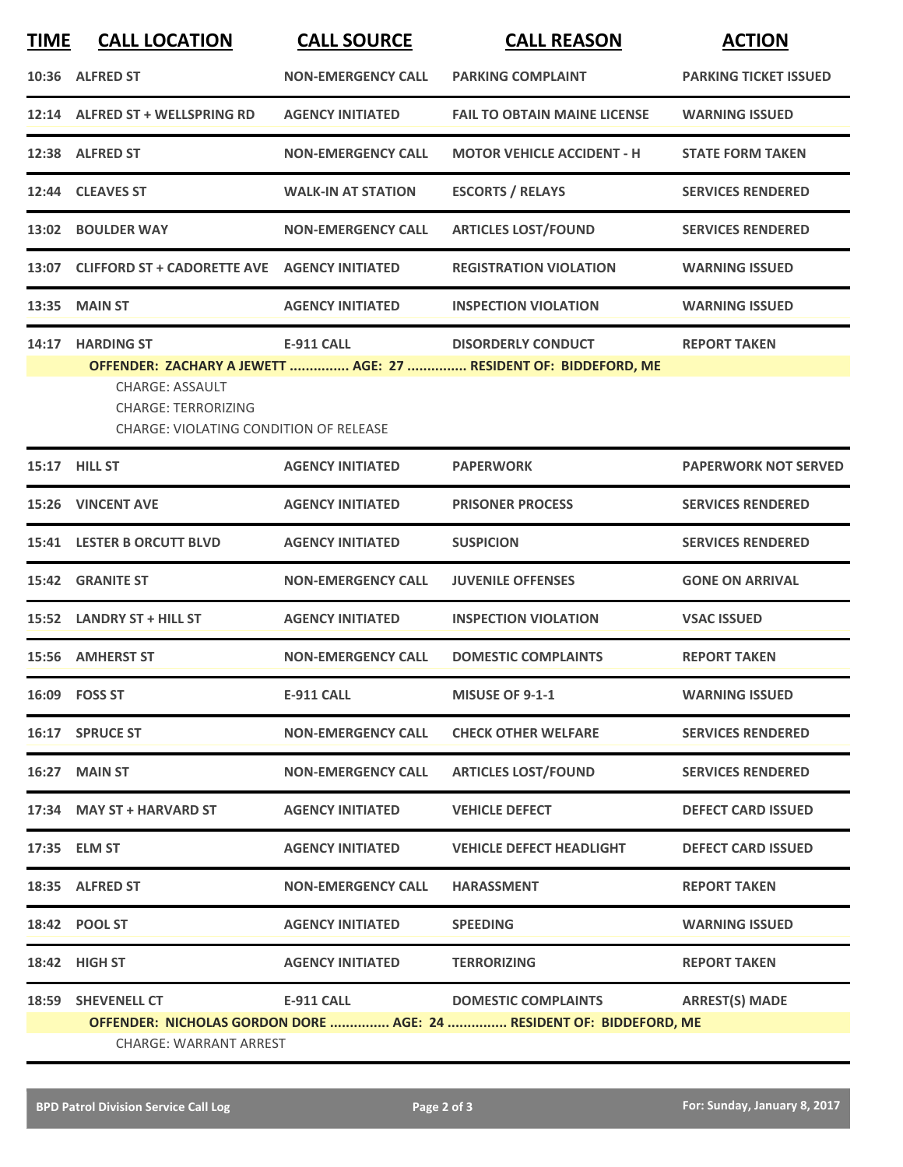| <b>TIME</b> | <b>CALL LOCATION</b>                                                                                                      | <b>CALL SOURCE</b>        | <b>CALL REASON</b>                                                                                | <b>ACTION</b>                |
|-------------|---------------------------------------------------------------------------------------------------------------------------|---------------------------|---------------------------------------------------------------------------------------------------|------------------------------|
|             | 10:36 ALFRED ST                                                                                                           | <b>NON-EMERGENCY CALL</b> | <b>PARKING COMPLAINT</b>                                                                          | <b>PARKING TICKET ISSUED</b> |
|             | 12:14 ALFRED ST + WELLSPRING RD                                                                                           | <b>AGENCY INITIATED</b>   | <b>FAIL TO OBTAIN MAINE LICENSE</b>                                                               | <b>WARNING ISSUED</b>        |
|             | 12:38 ALFRED ST                                                                                                           | <b>NON-EMERGENCY CALL</b> | <b>MOTOR VEHICLE ACCIDENT - H</b>                                                                 | <b>STATE FORM TAKEN</b>      |
| 12:44       | <b>CLEAVES ST</b>                                                                                                         | <b>WALK-IN AT STATION</b> | <b>ESCORTS / RELAYS</b>                                                                           | <b>SERVICES RENDERED</b>     |
|             | 13:02 BOULDER WAY                                                                                                         | <b>NON-EMERGENCY CALL</b> | <b>ARTICLES LOST/FOUND</b>                                                                        | <b>SERVICES RENDERED</b>     |
|             | 13:07 CLIFFORD ST + CADORETTE AVE AGENCY INITIATED                                                                        |                           | <b>REGISTRATION VIOLATION</b>                                                                     | <b>WARNING ISSUED</b>        |
| 13:35       | <b>MAIN ST</b>                                                                                                            | <b>AGENCY INITIATED</b>   | <b>INSPECTION VIOLATION</b>                                                                       | <b>WARNING ISSUED</b>        |
|             | 14:17 HARDING ST<br><b>CHARGE: ASSAULT</b><br><b>CHARGE: TERRORIZING</b><br><b>CHARGE: VIOLATING CONDITION OF RELEASE</b> | <b>E-911 CALL</b>         | <b>DISORDERLY CONDUCT</b><br>OFFENDER: ZACHARY A JEWETT  AGE: 27  RESIDENT OF: BIDDEFORD, ME      | <b>REPORT TAKEN</b>          |
|             | 15:17 HILL ST                                                                                                             | <b>AGENCY INITIATED</b>   | <b>PAPERWORK</b>                                                                                  | <b>PAPERWORK NOT SERVED</b>  |
| 15:26       | <b>VINCENT AVE</b>                                                                                                        | <b>AGENCY INITIATED</b>   | <b>PRISONER PROCESS</b>                                                                           | <b>SERVICES RENDERED</b>     |
|             | <b>15:41 LESTER B ORCUTT BLVD</b>                                                                                         | <b>AGENCY INITIATED</b>   | <b>SUSPICION</b>                                                                                  | <b>SERVICES RENDERED</b>     |
| 15:42       | <b>GRANITE ST</b>                                                                                                         | <b>NON-EMERGENCY CALL</b> | <b>JUVENILE OFFENSES</b>                                                                          | <b>GONE ON ARRIVAL</b>       |
|             | 15:52 LANDRY ST + HILL ST                                                                                                 | <b>AGENCY INITIATED</b>   | <b>INSPECTION VIOLATION</b>                                                                       | <b>VSAC ISSUED</b>           |
|             | 15:56 AMHERST ST                                                                                                          | <b>NON-EMERGENCY CALL</b> | <b>DOMESTIC COMPLAINTS</b>                                                                        | <b>REPORT TAKEN</b>          |
|             | 16:09    FOSS ST                                                                                                          | <b>E-911 CALL</b>         | <b>MISUSE OF 9-1-1</b>                                                                            | <b>WARNING ISSUED</b>        |
|             | 16:17 SPRUCE ST                                                                                                           | <b>NON-EMERGENCY CALL</b> | <b>CHECK OTHER WELFARE</b>                                                                        | <b>SERVICES RENDERED</b>     |
|             | 16:27 MAIN ST                                                                                                             | <b>NON-EMERGENCY CALL</b> | <b>ARTICLES LOST/FOUND</b>                                                                        | <b>SERVICES RENDERED</b>     |
|             | 17:34 MAY ST + HARVARD ST                                                                                                 | <b>AGENCY INITIATED</b>   | <b>VEHICLE DEFECT</b>                                                                             | <b>DEFECT CARD ISSUED</b>    |
|             | 17:35 ELM ST                                                                                                              | <b>AGENCY INITIATED</b>   | <b>VEHICLE DEFECT HEADLIGHT</b>                                                                   | <b>DEFECT CARD ISSUED</b>    |
|             | 18:35 ALFRED ST                                                                                                           | <b>NON-EMERGENCY CALL</b> | <b>HARASSMENT</b>                                                                                 | <b>REPORT TAKEN</b>          |
|             | 18:42 POOL ST                                                                                                             | <b>AGENCY INITIATED</b>   | <b>SPEEDING</b>                                                                                   | <b>WARNING ISSUED</b>        |
|             | 18:42 HIGH ST                                                                                                             | <b>AGENCY INITIATED</b>   | <b>TERRORIZING</b>                                                                                | <b>REPORT TAKEN</b>          |
|             | 18:59 SHEVENELL CT<br><b>CHARGE: WARRANT ARREST</b>                                                                       | <b>E-911 CALL</b>         | <b>DOMESTIC COMPLAINTS</b><br>OFFENDER: NICHOLAS GORDON DORE  AGE: 24  RESIDENT OF: BIDDEFORD, ME | <b>ARREST(S) MADE</b>        |